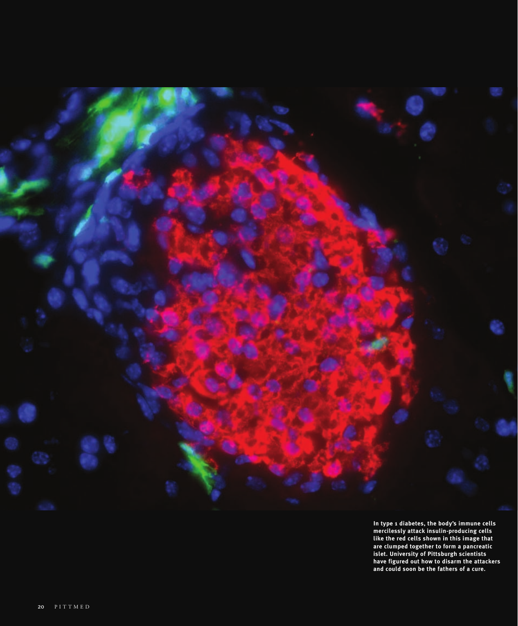

**In type 1 diabetes, the body's immune cells mercilessly attack insulin-producing cells like the red cells shown in this image that are clumped together to form a pancreatic islet. University of Pittsburgh scientists have figured out how to disarm the attackers and could soon be the fathers of a cure.**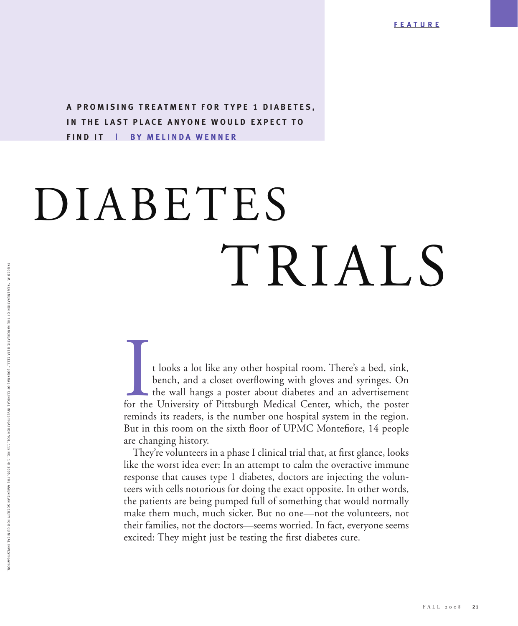**A PROMISING TREATMENT FOR TYPE 1 DIABETES, IN THE LAST PLACE ANYONE WOULD EXPECT TO FIND IT | BY MELINDA WENNER**

## DIABETES TRIALS

t looks a lot like any other hospital room. There's a bed, sink, bench, and a closet overflowing with gloves and syringes. On the wall hangs a poster about diabetes and an advertisement for the University of Pittsburgh Medical Center, which, the poster reminds its readers, is the number one hospital system in the region. But in this room on the sixth floor of UPMC Montefiore, 14 people are changing history.

They're volunteers in a phase I clinical trial that, at first glance, looks like the worst idea ever: In an attempt to calm the overactive immune response that causes type 1 diabetes, doctors are injecting the volunteers with cells notorious for doing the exact opposite. In other words, the patients are being pumped full of something that would normally make them much, much sicker. But no one—not the volunteers, not their families, not the doctors—seems worried. In fact, everyone seems excited: They might just be testing the first diabetes cure.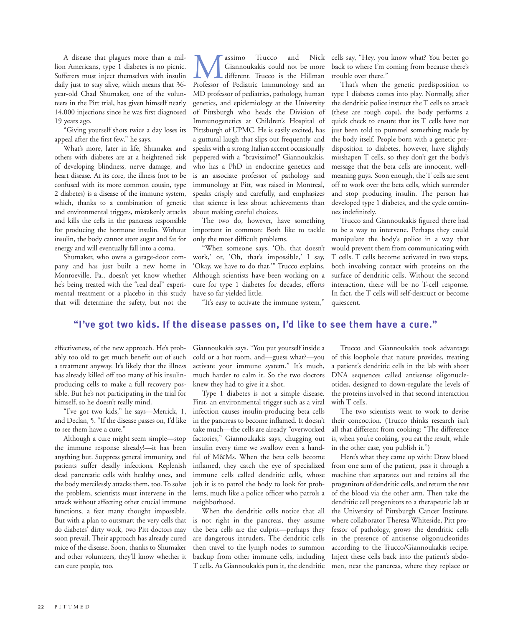A disease that plagues more than a million Americans, type 1 diabetes is no picnic. Sufferers must inject themselves with insulin daily just to stay alive, which means that 36 year-old Chad Shumaker, one of the volunteers in the Pitt trial, has given himself nearly 14,000 injections since he was first diagnosed 19 years ago.

"Giving yourself shots twice a day loses its appeal after the first few," he says.

What's more, later in life, Shumaker and others with diabetes are at a heightened risk of developing blindness, nerve damage, and heart disease. At its core, the illness (not to be confused with its more common cousin, type 2 diabetes) is a disease of the immune system, which, thanks to a combination of genetic and environmental triggers, mistakenly attacks and kills the cells in the pancreas responsible for producing the hormone insulin. Without insulin, the body cannot store sugar and fat for energy and will eventually fall into a coma.

Shumaker, who owns a garage-door company and has just built a new home in Monroeville, Pa., doesn't yet know whether he's being treated with the "real deal" experimental treatment or a placebo in this study that will determine the safety, but not the

**Massimo** Trucco and Nick Giannoukakis could not be more different. Trucco is the Hillman Professor of Pediatric Immunology and an Giannoukakis could not be more different. Trucco is the Hillman MD professor of pediatrics, pathology, human genetics, and epidemiology at the University of Pittsburgh who heads the Division of Immunogenetics at Children's Hospital of Pittsburgh of UPMC. He is easily excited, has a guttural laugh that slips out frequently, and speaks with a strong Italian accent occasionally peppered with a "bravissimo!" Giannoukakis, who has a PhD in endocrine genetics and is an associate professor of pathology and immunology at Pitt, was raised in Montreal, speaks crisply and carefully, and emphasizes that science is less about achievements than about making careful choices.

The two do, however, have something important in common: Both like to tackle only the most difficult problems.

"When someone says, 'Oh, that doesn't work,' or, 'Oh, that's impossible,' I say, 'Okay, we have to do that,'" Trucco explains. Although scientists have been working on a cure for type 1 diabetes for decades, efforts have so far yielded little.

"It's easy to activate the immune system,"

cells say, "Hey, you know what? You better go back to where I'm coming from because there's trouble over there."

That's when the genetic predisposition to type 1 diabetes comes into play. Normally, after the dendritic police instruct the T cells to attack (these are rough cops), the body performs a quick check to ensure that its T cells have not just been told to pummel something made by the body itself. People born with a genetic predisposition to diabetes, however, have slightly misshapen T cells, so they don't get the body's message that the beta cells are innocent, wellmeaning guys. Soon enough, the T cells are sent off to work over the beta cells, which surrender and stop producing insulin. The person has developed type 1 diabetes, and the cycle continues indefinitely.

Trucco and Giannoukakis figured there had to be a way to intervene. Perhaps they could manipulate the body's police in a way that would prevent them from communicating with T cells. T cells become activated in two steps, both involving contact with proteins on the surface of dendritic cells. Without the second interaction, there will be no T-cell response. In fact, the T cells will self-destruct or become quiescent.

## **"I've got two kids. If the disease passes on, I'd like to see them have a cure."**

effectiveness, of the new approach. He's probably too old to get much benefit out of such a treatment anyway. It's likely that the illness has already killed off too many of his insulinproducing cells to make a full recovery possible. But he's not participating in the trial for himself, so he doesn't really mind.

"I've got two kids," he says—Merrick, 1, and Declan, 5. "If the disease passes on, I'd like to see them have a cure."

Although a cure might seem simple—stop the immune response already!—it has been anything but. Suppress general immunity, and patients suffer deadly infections. Replenish dead pancreatic cells with healthy ones, and the body mercilessly attacks them, too. To solve the problem, scientists must intervene in the attack without affecting other crucial immune functions, a feat many thought impossible. But with a plan to outsmart the very cells that do diabetes' dirty work, two Pitt doctors may soon prevail. Their approach has already cured mice of the disease. Soon, thanks to Shumaker and other volunteers, they'll know whether it can cure people, too.

Giannoukakis says. "You put yourself inside a cold or a hot room, and—guess what?—you activate your immune system." It's much, much harder to calm it. So the two doctors knew they had to give it a shot.

Type 1 diabetes is not a simple disease. First, an environmental trigger such as a viral infection causes insulin-producing beta cells in the pancreas to become inflamed. It doesn't take much—the cells are already "overworked factories," Giannoukakis says, chugging out insulin every time we swallow even a handful of M&Ms. When the beta cells become inflamed, they catch the eye of specialized immune cells called dendritic cells, whose job it is to patrol the body to look for problems, much like a police officer who patrols a neighborhood.

When the dendritic cells notice that all is not right in the pancreas, they assume the beta cells are the culprit—perhaps they are dangerous intruders. The dendritic cells then travel to the lymph nodes to summon backup from other immune cells, including T cells. As Giannoukakis puts it, the dendritic

Trucco and Giannoukakis took advantage of this loophole that nature provides, treating a patient's dendritic cells in the lab with short DNA sequences called antisense oligonucleotides, designed to down-regulate the levels of the proteins involved in that second interaction with T cells.

The two scientists went to work to devise their concoction. (Trucco thinks research isn't all that different from cooking: "The difference is, when you're cooking, you eat the result, while in the other case, you publish it.")

Here's what they came up with: Draw blood from one arm of the patient, pass it through a machine that separates out and retains all the progenitors of dendritic cells, and return the rest of the blood via the other arm. Then take the dendritic cell progenitors to a therapeutic lab at the University of Pittsburgh Cancer Institute, where collaborator Theresa Whiteside, Pitt professor of pathology, grows the dendritic cells in the presence of antisense oligonucleotides according to the Trucco/Giannoukakis recipe. Inject these cells back into the patient's abdomen, near the pancreas, where they replace or